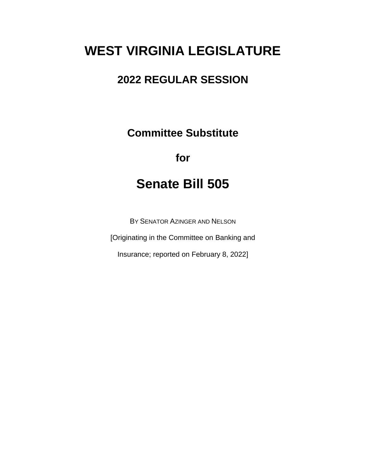# **WEST VIRGINIA LEGISLATURE**

## **2022 REGULAR SESSION**

**Committee Substitute**

## **for**

# **Senate Bill 505**

BY SENATOR AZINGER AND NELSON

[Originating in the Committee on Banking and

Insurance; reported on February 8, 2022]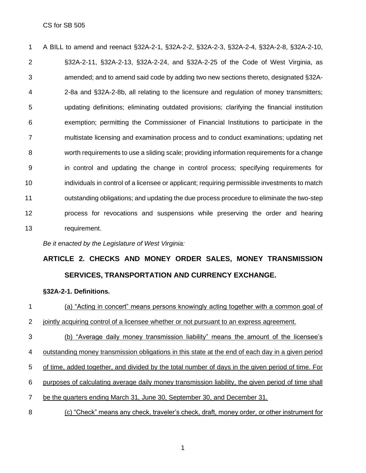A BILL to amend and reenact §32A-2-1, §32A-2-2, §32A-2-3, §32A-2-4, §32A-2-8, §32A-2-10, §32A-2-11, §32A-2-13, §32A-2-24, and §32A-2-25 of the Code of West Virginia, as amended; and to amend said code by adding two new sections thereto, designated §32A- 2-8a and §32A-2-8b, all relating to the licensure and regulation of money transmitters; updating definitions; eliminating outdated provisions; clarifying the financial institution exemption; permitting the Commissioner of Financial Institutions to participate in the multistate licensing and examination process and to conduct examinations; updating net worth requirements to use a sliding scale; providing information requirements for a change in control and updating the change in control process; specifying requirements for individuals in control of a licensee or applicant; requiring permissible investments to match outstanding obligations; and updating the due process procedure to eliminate the two-step process for revocations and suspensions while preserving the order and hearing requirement.

*Be it enacted by the Legislature of West Virginia:*

## **ARTICLE 2. CHECKS AND MONEY ORDER SALES, MONEY TRANSMISSION SERVICES, TRANSPORTATION AND CURRENCY EXCHANGE.**

#### **§32A-2-1. Definitions.**

- (a) "Acting in concert" means persons knowingly acting together with a common goal of 2 jointly acquiring control of a licensee whether or not pursuant to an express agreement.
- (b) "Average daily money transmission liability" means the amount of the licensee's outstanding money transmission obligations in this state at the end of each day in a given period
- of time, added together, and divided by the total number of days in the given period of time. For
- purposes of calculating average daily money transmission liability, the given period of time shall
- 7 be the quarters ending March 31, June 30, September 30, and December 31.
- (c) "Check" means any check, traveler's check, draft, money order, or other instrument for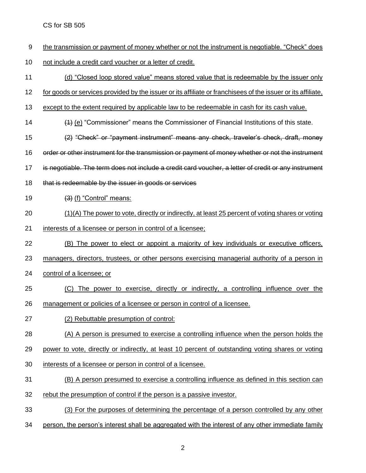- the transmission or payment of money whether or not the instrument is negotiable. "Check" does
- 10 not include a credit card voucher or a letter of credit.
- (d) "Closed loop stored value" means stored value that is redeemable by the issuer only
- for goods or services provided by the issuer or its affiliate or franchisees of the issuer or its affiliate,
- 13 except to the extent required by applicable law to be redeemable in cash for its cash value.
- (1) (e) "Commissioner" means the Commissioner of Financial Institutions of this state.
- (2) "Check" or "payment instrument" means any check, traveler's check, draft, money
- order or other instrument for the transmission or payment of money whether or not the instrument
- is negotiable. The term does not include a credit card voucher, a letter of credit or any instrument
- 18 that is redeemable by the issuer in goods or services
- 19  $(3)$  (f) "Control" means:
- (1)(A) The power to vote, directly or indirectly, at least 25 percent of voting shares or voting
- interests of a licensee or person in control of a licensee;
- (B) The power to elect or appoint a majority of key individuals or executive officers,
- 23 managers, directors, trustees, or other persons exercising managerial authority of a person in
- control of a licensee; or
- (C) The power to exercise, directly or indirectly, a controlling influence over the management or policies of a licensee or person in control of a licensee.
- (2) Rebuttable presumption of control:
- (A) A person is presumed to exercise a controlling influence when the person holds the
- power to vote, directly or indirectly, at least 10 percent of outstanding voting shares or voting
- interests of a licensee or person in control of a licensee.
- (B) A person presumed to exercise a controlling influence as defined in this section can
- rebut the presumption of control if the person is a passive investor.
- (3) For the purposes of determining the percentage of a person controlled by any other
- person, the person's interest shall be aggregated with the interest of any other immediate family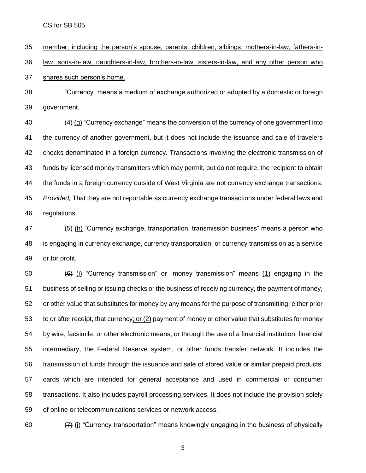member, including the person's spouse, parents, children, siblings, mothers-in-law, fathers-in- law, sons-in-law, daughters-in-law, brothers-in-law, sisters-in-law, and any other person who shares such person's home.

 "Currency" means a medium of exchange authorized or adopted by a domestic or foreign government.

 $(4)$  (g) "Currency exchange" means the conversion of the currency of one government into the currency of another government, but it does not include the issuance and sale of travelers checks denominated in a foreign currency. Transactions involving the electronic transmission of funds by licensed money transmitters which may permit, but do not require, the recipient to obtain the funds in a foreign currency outside of West Virginia are not currency exchange transactions: *Provided,* That they are not reportable as currency exchange transactions under federal laws and regulations.

 $\left(47\right)$  (b) "Currency exchange, transportation, transmission business" means a person who is engaging in currency exchange, currency transportation, or currency transmission as a service or for profit.

 (6) (i) "Currency transmission" or "money transmission" means (1) engaging in the business of selling or issuing checks or the business of receiving currency, the payment of money, or other value that substitutes for money by any means for the purpose of transmitting, either prior to or after receipt, that currency; or (2) payment of money or other value that substitutes for money by wire, facsimile, or other electronic means, or through the use of a financial institution, financial intermediary, the Federal Reserve system, or other funds transfer network. It includes the transmission of funds through the issuance and sale of stored value or similar prepaid products' cards which are intended for general acceptance and used in commercial or consumer transactions. It also includes payroll processing services. It does not include the provision solely of online or telecommunications services or network access.

60  $\left(7\right)$  (i) "Currency transportation" means knowingly engaging in the business of physically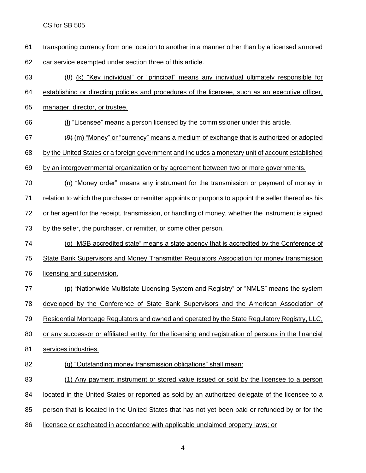- transporting currency from one location to another in a manner other than by a licensed armored car service exempted under section three of this article.
- (8) (k) "Key individual" or "principal" means any individual ultimately responsible for
- establishing or directing policies and procedures of the licensee, such as an executive officer,
- manager, director, or trustee.
- (l) "Licensee" means a person licensed by the commissioner under this article.
- 67  $(9)$  (m) "Money" or "currency" means a medium of exchange that is authorized or adopted
- by the United States or a foreign government and includes a monetary unit of account established
- by an intergovernmental organization or by agreement between two or more governments.
- (n) "Money order" means any instrument for the transmission or payment of money in relation to which the purchaser or remitter appoints or purports to appoint the seller thereof as his or her agent for the receipt, transmission, or handling of money, whether the instrument is signed 73 by the seller, the purchaser, or remitter, or some other person.
- (o) "MSB accredited state" means a state agency that is accredited by the Conference of State Bank Supervisors and Money Transmitter Regulators Association for money transmission
- licensing and supervision.
	- (p) "Nationwide Multistate Licensing System and Registry" or "NMLS" means the system developed by the Conference of State Bank Supervisors and the American Association of
	- Residential Mortgage Regulators and owned and operated by the State Regulatory Registry, LLC,
	- or any successor or affiliated entity, for the licensing and registration of persons in the financial
	- services industries.
	- (q) "Outstanding money transmission obligations" shall mean:
	- (1) Any payment instrument or stored value issued or sold by the licensee to a person
	- located in the United States or reported as sold by an authorized delegate of the licensee to a
	- person that is located in the United States that has not yet been paid or refunded by or for the
	- licensee or escheated in accordance with applicable unclaimed property laws; or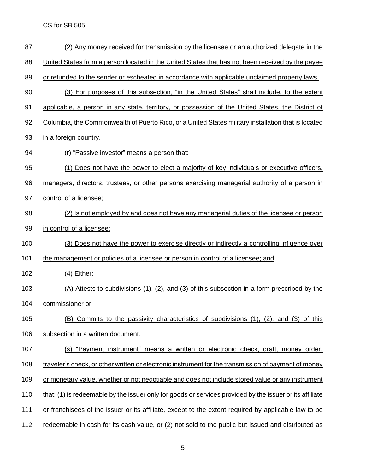| 87  | (2) Any money received for transmission by the licensee or an authorized delegate in the                 |
|-----|----------------------------------------------------------------------------------------------------------|
| 88  | United States from a person located in the United States that has not been received by the payee         |
| 89  | or refunded to the sender or escheated in accordance with applicable unclaimed property laws.            |
| 90  | (3) For purposes of this subsection, "in the United States" shall include, to the extent                 |
| 91  | applicable, a person in any state, territory, or possession of the United States, the District of        |
| 92  | Columbia, the Commonwealth of Puerto Rico, or a United States military installation that is located      |
| 93  | in a foreign country.                                                                                    |
| 94  | (r) "Passive investor" means a person that:                                                              |
| 95  | (1) Does not have the power to elect a majority of key individuals or executive officers,                |
| 96  | managers, directors, trustees, or other persons exercising managerial authority of a person in           |
| 97  | control of a licensee;                                                                                   |
| 98  | (2) Is not employed by and does not have any managerial duties of the licensee or person                 |
| 99  | in control of a licensee;                                                                                |
| 100 | (3) Does not have the power to exercise directly or indirectly a controlling influence over              |
| 101 | the management or policies of a licensee or person in control of a licensee; and                         |
| 102 | $(4)$ Either:                                                                                            |
| 103 | (A) Attests to subdivisions (1), (2), and (3) of this subsection in a form prescribed by the             |
| 104 | commissioner or                                                                                          |
| 105 | (B) Commits to the passivity characteristics of subdivisions (1), (2), and (3) of this                   |
| 106 | subsection in a written document.                                                                        |
| 107 | (s) "Payment instrument" means a written or electronic check, draft, money order,                        |
| 108 | traveler's check, or other written or electronic instrument for the transmission of payment of money     |
| 109 | or monetary value, whether or not negotiable and does not include stored value or any instrument         |
| 110 | that: (1) is redeemable by the issuer only for goods or services provided by the issuer or its affiliate |
| 111 | or franchisees of the issuer or its affiliate, except to the extent required by applicable law to be     |
| 112 | redeemable in cash for its cash value, or (2) not sold to the public but issued and distributed as       |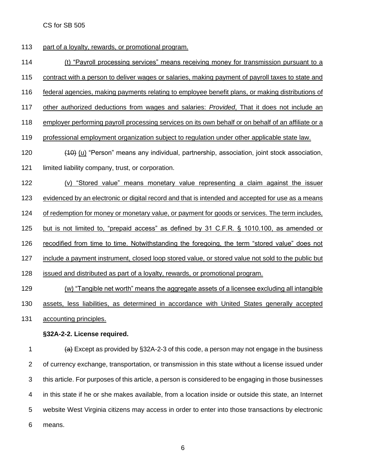113 part of a loyalty, rewards, or promotional program.

(t) "Payroll processing services" means receiving money for transmission pursuant to a

contract with a person to deliver wages or salaries, making payment of payroll taxes to state and

- federal agencies, making payments relating to employee benefit plans, or making distributions of
- other authorized deductions from wages and salaries: *Provided*, That it does not include an
- employer performing payroll processing services on its own behalf or on behalf of an affiliate or a
- professional employment organization subject to regulation under other applicable state law.
- 120 (40) (u) "Person" means any individual, partnership, association, joint stock association,
- limited liability company, trust, or corporation.
- (v) "Stored value" means monetary value representing a claim against the issuer
- evidenced by an electronic or digital record and that is intended and accepted for use as a means

124 of redemption for money or monetary value, or payment for goods or services. The term includes,

- but is not limited to, "prepaid access" as defined by 31 C.F.R. § 1010.100, as amended or
- recodified from time to time. Notwithstanding the foregoing, the term "stored value" does not
- include a payment instrument, closed loop stored value, or stored value not sold to the public but
- issued and distributed as part of a loyalty, rewards, or promotional program.

 (w) "Tangible net worth" means the aggregate assets of a licensee excluding all intangible 130 assets, less liabilities, as determined in accordance with United States generally accepted

accounting principles.

#### **§32A-2-2. License required.**

 $\left(4\right)$  Except as provided by §32A-2-3 of this code, a person may not engage in the business of currency exchange, transportation, or transmission in this state without a license issued under this article. For purposes of this article, a person is considered to be engaging in those businesses in this state if he or she makes available, from a location inside or outside this state, an Internet website West Virginia citizens may access in order to enter into those transactions by electronic means.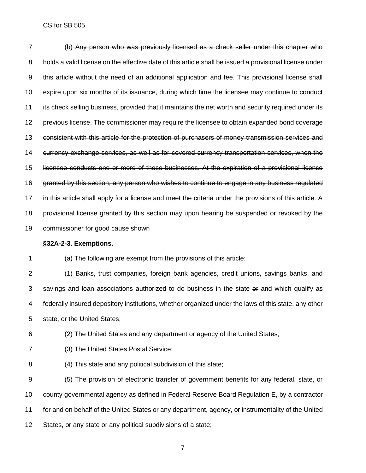| $\overline{7}$ | (b) Any person who was previously licensed as a check seller under this chapter who                     |
|----------------|---------------------------------------------------------------------------------------------------------|
| 8              | holds a valid license on the effective date of this article shall be issued a provisional license under |
| 9              | this article without the need of an additional application and fee. This provisional license shall      |
| 10             | expire upon six months of its issuance, during which time the licensee may continue to conduct          |
| 11             | its check selling business, provided that it maintains the net worth and security required under its    |
| 12             | previous license. The commissioner may require the licensee to obtain expanded bond coverage            |
| 13             | consistent with this article for the protection of purchasers of money transmission services and        |
| 14             | currency exchange services, as well as for covered currency transportation services, when the           |
| 15             | licensee conducts one or more of these businesses. At the expiration of a provisional license           |
| 16             | granted by this section, any person who wishes to continue to engage in any business regulated          |
| 17             | in this article shall apply for a license and meet the criteria under the provisions of this article. A |
| 18             | provisional license granted by this section may upon hearing be suspended or revoked by the             |
| 19             | commissioner for good cause shown                                                                       |
|                | §32A-2-3. Exemptions.                                                                                   |
| 1              | (a) The following are exempt from the provisions of this article:                                       |
| $\overline{2}$ | (1) Banks, trust companies, foreign bank agencies, credit unions, savings banks, and                    |
| 3              | savings and loan associations authorized to do business in the state or and which qualify as            |
| 4              | federally insured depository institutions, whether organized under the laws of this state, any other    |
| 5              | state, or the United States;                                                                            |
| 6              | (2) The United States and any department or agency of the United States;                                |
| 7              | (3) The United States Postal Service;                                                                   |
| 8              | (4) This state and any political subdivision of this state;                                             |
| 9              | (5) The provision of electronic transfer of government benefits for any federal, state, or              |

 county governmental agency as defined in Federal Reserve Board Regulation E, by a contractor for and on behalf of the United States or any department, agency, or instrumentality of the United States, or any state or any political subdivisions of a state;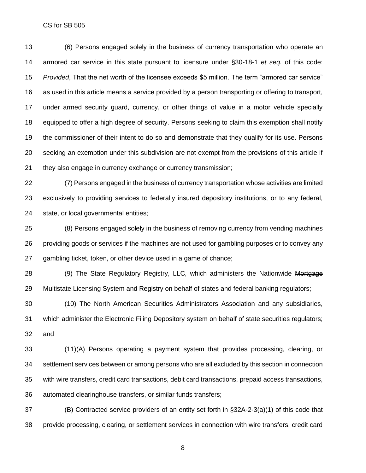(6) Persons engaged solely in the business of currency transportation who operate an armored car service in this state pursuant to licensure under §30-18-1 *et seq.* of this code: *Provided*, That the net worth of the licensee exceeds \$5 million. The term "armored car service" as used in this article means a service provided by a person transporting or offering to transport, under armed security guard, currency, or other things of value in a motor vehicle specially equipped to offer a high degree of security. Persons seeking to claim this exemption shall notify the commissioner of their intent to do so and demonstrate that they qualify for its use. Persons seeking an exemption under this subdivision are not exempt from the provisions of this article if they also engage in currency exchange or currency transmission;

 (7) Persons engaged in the business of currency transportation whose activities are limited exclusively to providing services to federally insured depository institutions, or to any federal, state, or local governmental entities;

 (8) Persons engaged solely in the business of removing currency from vending machines providing goods or services if the machines are not used for gambling purposes or to convey any gambling ticket, token, or other device used in a game of chance;

28 (9) The State Regulatory Registry, LLC, which administers the Nationwide Mortgage Multistate Licensing System and Registry on behalf of states and federal banking regulators;

 (10) The North American Securities Administrators Association and any subsidiaries, which administer the Electronic Filing Depository system on behalf of state securities regulators; and

 (11)(A) Persons operating a payment system that provides processing, clearing, or settlement services between or among persons who are all excluded by this section in connection with wire transfers, credit card transactions, debit card transactions, prepaid access transactions, automated clearinghouse transfers, or similar funds transfers;

 (B) Contracted service providers of an entity set forth in §32A-2-3(a)(1) of this code that provide processing, clearing, or settlement services in connection with wire transfers, credit card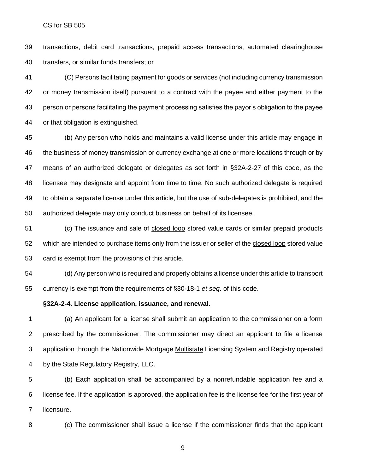transactions, debit card transactions, prepaid access transactions, automated clearinghouse transfers, or similar funds transfers; or

 (C) Persons facilitating payment for goods or services (not including currency transmission or money transmission itself) pursuant to a contract with the payee and either payment to the person or persons facilitating the payment processing satisfies the payor's obligation to the payee or that obligation is extinguished.

 (b) Any person who holds and maintains a valid license under this article may engage in the business of money transmission or currency exchange at one or more locations through or by means of an authorized delegate or delegates as set forth in §32A-2-27 of this code, as the licensee may designate and appoint from time to time. No such authorized delegate is required to obtain a separate license under this article, but the use of sub-delegates is prohibited, and the authorized delegate may only conduct business on behalf of its licensee.

 (c) The issuance and sale of closed loop stored value cards or similar prepaid products which are intended to purchase items only from the issuer or seller of the closed loop stored value card is exempt from the provisions of this article.

 (d) Any person who is required and properly obtains a license under this article to transport currency is exempt from the requirements of §30-18-1 *et seq*. of this code.

#### **§32A-2-4. License application, issuance, and renewal.**

 (a) An applicant for a license shall submit an application to the commissioner on a form prescribed by the commissioner. The commissioner may direct an applicant to file a license 3 application through the Nationwide Mortgage Multistate Licensing System and Registry operated by the State Regulatory Registry, LLC.

 (b) Each application shall be accompanied by a nonrefundable application fee and a license fee. If the application is approved, the application fee is the license fee for the first year of licensure.

(c) The commissioner shall issue a license if the commissioner finds that the applicant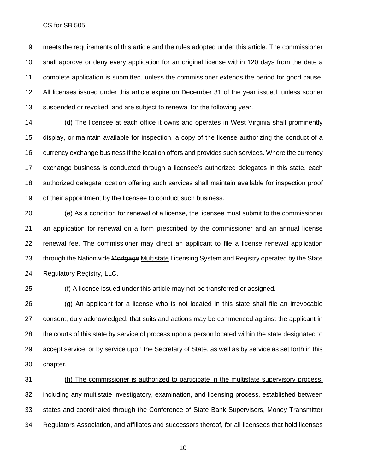meets the requirements of this article and the rules adopted under this article. The commissioner shall approve or deny every application for an original license within 120 days from the date a complete application is submitted, unless the commissioner extends the period for good cause. All licenses issued under this article expire on December 31 of the year issued, unless sooner suspended or revoked, and are subject to renewal for the following year.

 (d) The licensee at each office it owns and operates in West Virginia shall prominently display, or maintain available for inspection, a copy of the license authorizing the conduct of a currency exchange business if the location offers and provides such services. Where the currency exchange business is conducted through a licensee's authorized delegates in this state, each authorized delegate location offering such services shall maintain available for inspection proof of their appointment by the licensee to conduct such business.

 (e) As a condition for renewal of a license, the licensee must submit to the commissioner an application for renewal on a form prescribed by the commissioner and an annual license renewal fee. The commissioner may direct an applicant to file a license renewal application 23 through the Nationwide Mortgage Multistate Licensing System and Registry operated by the State Regulatory Registry, LLC.

(f) A license issued under this article may not be transferred or assigned.

 (g) An applicant for a license who is not located in this state shall file an irrevocable consent, duly acknowledged, that suits and actions may be commenced against the applicant in the courts of this state by service of process upon a person located within the state designated to accept service, or by service upon the Secretary of State, as well as by service as set forth in this chapter.

 (h) The commissioner is authorized to participate in the multistate supervisory process, including any multistate investigatory, examination, and licensing process, established between states and coordinated through the Conference of State Bank Supervisors, Money Transmitter Regulators Association, and affiliates and successors thereof, for all licensees that hold licenses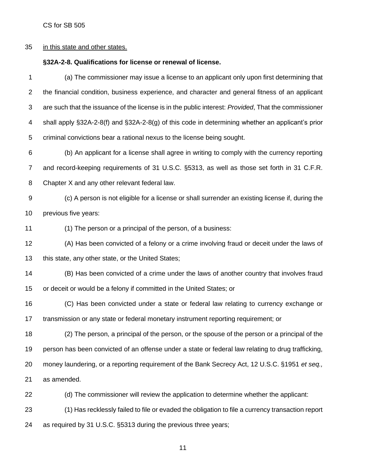### in this state and other states.

### **§32A-2-8. Qualifications for license or renewal of license.**

| 1              | (a) The commissioner may issue a license to an applicant only upon first determining that            |
|----------------|------------------------------------------------------------------------------------------------------|
| $\overline{2}$ | the financial condition, business experience, and character and general fitness of an applicant      |
| 3              | are such that the issuance of the license is in the public interest: Provided, That the commissioner |
| 4              | shall apply §32A-2-8(f) and §32A-2-8(g) of this code in determining whether an applicant's prior     |
| 5              | criminal convictions bear a rational nexus to the license being sought.                              |
| 6              | (b) An applicant for a license shall agree in writing to comply with the currency reporting          |
| 7              | and record-keeping requirements of 31 U.S.C. §5313, as well as those set forth in 31 C.F.R.          |
| 8              | Chapter X and any other relevant federal law.                                                        |
| 9              | (c) A person is not eligible for a license or shall surrender an existing license if, during the     |
| 10             | previous five years:                                                                                 |
| 11             | (1) The person or a principal of the person, of a business:                                          |
| 12             | (A) Has been convicted of a felony or a crime involving fraud or deceit under the laws of            |
| 13             | this state, any other state, or the United States;                                                   |
| 14             | (B) Has been convicted of a crime under the laws of another country that involves fraud              |
| 15             | or deceit or would be a felony if committed in the United States; or                                 |
| 16             | (C) Has been convicted under a state or federal law relating to currency exchange or                 |
| 17             | transmission or any state or federal monetary instrument reporting requirement; or                   |
| 18             | (2) The person, a principal of the person, or the spouse of the person or a principal of the         |
| 19             | person has been convicted of an offense under a state or federal law relating to drug trafficking,   |
| 20             | money laundering, or a reporting requirement of the Bank Secrecy Act, 12 U.S.C. §1951 et seq.,       |
| 21             | as amended.                                                                                          |
| 22             | (d) The commissioner will review the application to determine whether the applicant:                 |
| 23             | (1) Has recklessly failed to file or evaded the obligation to file a currency transaction report     |
| 24             | as required by 31 U.S.C. §5313 during the previous three years;                                      |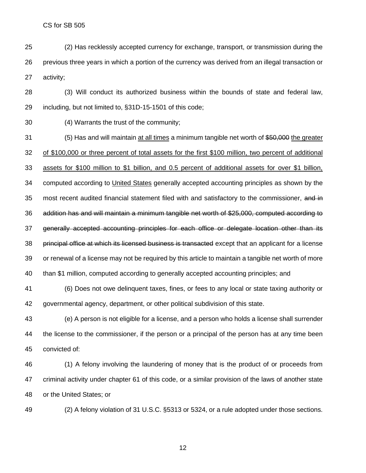- (2) Has recklessly accepted currency for exchange, transport, or transmission during the previous three years in which a portion of the currency was derived from an illegal transaction or activity;
- (3) Will conduct its authorized business within the bounds of state and federal law, including, but not limited to, §31D-15-1501 of this code;
- (4) Warrants the trust of the community;
- (5) Has and will maintain at all times a minimum tangible net worth of \$50,000 the greater of \$100,000 or three percent of total assets for the first \$100 million, two percent of additional assets for \$100 million to \$1 billion, and 0.5 percent of additional assets for over \$1 billion, computed according to United States generally accepted accounting principles as shown by the 35 most recent audited financial statement filed with and satisfactory to the commissioner, and in addition has and will maintain a minimum tangible net worth of \$25,000, computed according to generally accepted accounting principles for each office or delegate location other than its principal office at which its licensed business is transacted except that an applicant for a license or renewal of a license may not be required by this article to maintain a tangible net worth of more than \$1 million, computed according to generally accepted accounting principles; and
- (6) Does not owe delinquent taxes, fines, or fees to any local or state taxing authority or governmental agency, department, or other political subdivision of this state.
- (e) A person is not eligible for a license, and a person who holds a license shall surrender the license to the commissioner, if the person or a principal of the person has at any time been convicted of:
- (1) A felony involving the laundering of money that is the product of or proceeds from criminal activity under chapter 61 of this code, or a similar provision of the laws of another state or the United States; or

(2) A felony violation of 31 U.S.C. §5313 or 5324, or a rule adopted under those sections.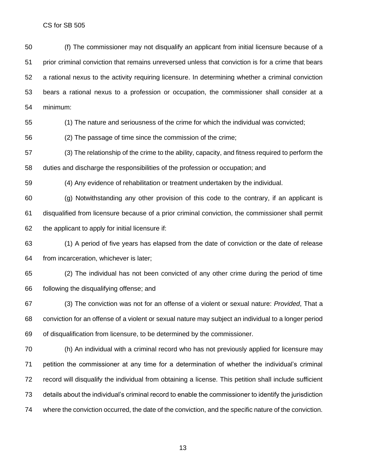(f) The commissioner may not disqualify an applicant from initial licensure because of a prior criminal conviction that remains unreversed unless that conviction is for a crime that bears a rational nexus to the activity requiring licensure. In determining whether a criminal conviction bears a rational nexus to a profession or occupation, the commissioner shall consider at a minimum:

(1) The nature and seriousness of the crime for which the individual was convicted;

(2) The passage of time since the commission of the crime;

 (3) The relationship of the crime to the ability, capacity, and fitness required to perform the duties and discharge the responsibilities of the profession or occupation; and

(4) Any evidence of rehabilitation or treatment undertaken by the individual.

 (g) Notwithstanding any other provision of this code to the contrary, if an applicant is disqualified from licensure because of a prior criminal conviction, the commissioner shall permit the applicant to apply for initial licensure if:

 (1) A period of five years has elapsed from the date of conviction or the date of release from incarceration, whichever is later;

 (2) The individual has not been convicted of any other crime during the period of time following the disqualifying offense; and

 (3) The conviction was not for an offense of a violent or sexual nature: *Provided*, That a conviction for an offense of a violent or sexual nature may subject an individual to a longer period of disqualification from licensure, to be determined by the commissioner.

 (h) An individual with a criminal record who has not previously applied for licensure may petition the commissioner at any time for a determination of whether the individual's criminal record will disqualify the individual from obtaining a license. This petition shall include sufficient details about the individual's criminal record to enable the commissioner to identify the jurisdiction where the conviction occurred, the date of the conviction, and the specific nature of the conviction.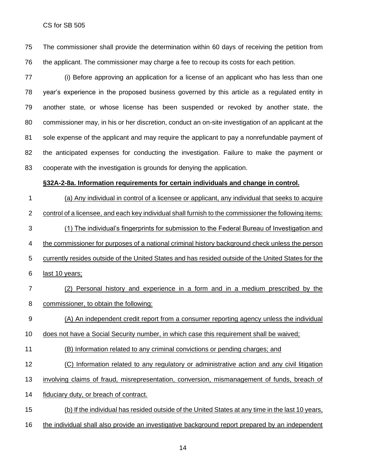The commissioner shall provide the determination within 60 days of receiving the petition from the applicant. The commissioner may charge a fee to recoup its costs for each petition.

 (i) Before approving an application for a license of an applicant who has less than one year's experience in the proposed business governed by this article as a regulated entity in another state, or whose license has been suspended or revoked by another state, the commissioner may, in his or her discretion, conduct an on-site investigation of an applicant at the sole expense of the applicant and may require the applicant to pay a nonrefundable payment of the anticipated expenses for conducting the investigation. Failure to make the payment or cooperate with the investigation is grounds for denying the application.

#### **§32A-2-8a. Information requirements for certain individuals and change in control.**

 (a) Any individual in control of a licensee or applicant, any individual that seeks to acquire control of a licensee, and each key individual shall furnish to the commissioner the following items: (1) The individual's fingerprints for submission to the Federal Bureau of Investigation and the commissioner for purposes of a national criminal history background check unless the person currently resides outside of the United States and has resided outside of the United States for the last 10 years;

- (2) Personal history and experience in a form and in a medium prescribed by the commissioner, to obtain the following:
- (A) An independent credit report from a consumer reporting agency unless the individual
- does not have a Social Security number, in which case this requirement shall be waived;
- (B) Information related to any criminal convictions or pending charges; and
- (C) Information related to any regulatory or administrative action and any civil litigation
- involving claims of fraud, misrepresentation, conversion, mismanagement of funds, breach of
- fiduciary duty, or breach of contract.
- (b) If the individual has resided outside of the United States at any time in the last 10 years,
- the individual shall also provide an investigative background report prepared by an independent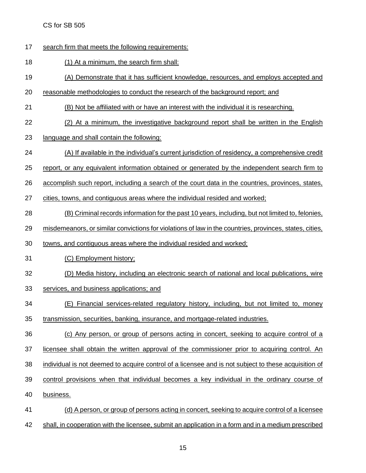- search firm that meets the following requirements:
- (1) At a minimum, the search firm shall:
- (A) Demonstrate that it has sufficient knowledge, resources, and employs accepted and
- reasonable methodologies to conduct the research of the background report; and
- 21 (B) Not be affiliated with or have an interest with the individual it is researching.
- (2) At a minimum, the investigative background report shall be written in the English
- language and shall contain the following:
- (A) If available in the individual's current jurisdiction of residency, a comprehensive credit
- report, or any equivalent information obtained or generated by the independent search firm to
- accomplish such report, including a search of the court data in the countries, provinces, states,

cities, towns, and contiguous areas where the individual resided and worked;

- (B) Criminal records information for the past 10 years, including, but not limited to, felonies,
- misdemeanors, or similar convictions for violations of law in the countries, provinces, states, cities,
- towns, and contiguous areas where the individual resided and worked;
- (C) Employment history;
- (D) Media history, including an electronic search of national and local publications, wire
- services, and business applications; and
- (E) Financial services-related regulatory history, including, but not limited to, money
- transmission, securities, banking, insurance, and mortgage-related industries.
- (c) Any person, or group of persons acting in concert, seeking to acquire control of a licensee shall obtain the written approval of the commissioner prior to acquiring control. An individual is not deemed to acquire control of a licensee and is not subject to these acquisition of control provisions when that individual becomes a key individual in the ordinary course of
- business.
- (d) A person, or group of persons acting in concert, seeking to acquire control of a licensee shall, in cooperation with the licensee, submit an application in a form and in a medium prescribed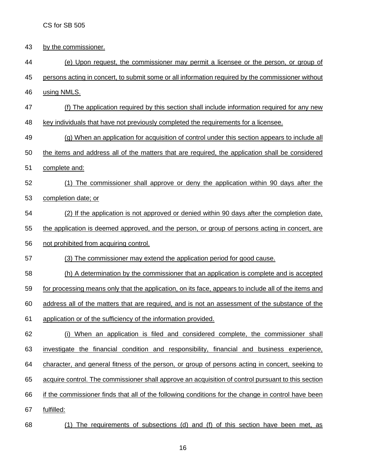- by the commissioner.
- (e) Upon request, the commissioner may permit a licensee or the person, or group of

persons acting in concert, to submit some or all information required by the commissioner without

- using NMLS.
- (f) The application required by this section shall include information required for any new
- key individuals that have not previously completed the requirements for a licensee.

(g) When an application for acquisition of control under this section appears to include all

- the items and address all of the matters that are required, the application shall be considered
- complete and:
- (1) The commissioner shall approve or deny the application within 90 days after the completion date; or
- (2) If the application is not approved or denied within 90 days after the completion date,

the application is deemed approved, and the person, or group of persons acting in concert, are

- not prohibited from acquiring control.
- (3) The commissioner may extend the application period for good cause.

(h) A determination by the commissioner that an application is complete and is accepted

for processing means only that the application, on its face, appears to include all of the items and

address all of the matters that are required, and is not an assessment of the substance of the

- application or of the sufficiency of the information provided.
- (i) When an application is filed and considered complete, the commissioner shall investigate the financial condition and responsibility, financial and business experience, character, and general fitness of the person, or group of persons acting in concert, seeking to acquire control. The commissioner shall approve an acquisition of control pursuant to this section if the commissioner finds that all of the following conditions for the change in control have been fulfilled:
- (1) The requirements of subsections (d) and (f) of this section have been met, as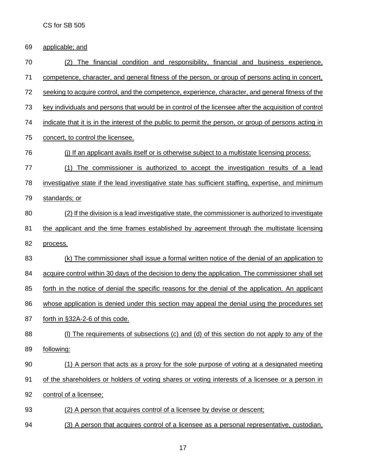| 69 | applicable; and                                                                                       |
|----|-------------------------------------------------------------------------------------------------------|
| 70 | The financial condition and responsibility, financial and business experience,<br>(2)                 |
| 71 | competence, character, and general fitness of the person, or group of persons acting in concert,      |
| 72 | seeking to acquire control, and the competence, experience, character, and general fitness of the     |
| 73 | key individuals and persons that would be in control of the licensee after the acquisition of control |
| 74 | indicate that it is in the interest of the public to permit the person, or group of persons acting in |
| 75 | concert, to control the licensee.                                                                     |
| 76 | (i) If an applicant avails itself or is otherwise subject to a multistate licensing process:          |
| 77 | The commissioner is authorized to accept the investigation results of a lead<br>(1)                   |
| 78 | investigative state if the lead investigative state has sufficient staffing, expertise, and minimum   |
| 79 | standards; or                                                                                         |
| 80 | (2) If the division is a lead investigative state, the commissioner is authorized to investigate      |
| 81 | the applicant and the time frames established by agreement through the multistate licensing           |
| 82 | process.                                                                                              |
| 83 | (k) The commissioner shall issue a formal written notice of the denial of an application to           |
| 84 | acquire control within 30 days of the decision to deny the application. The commissioner shall set    |
| 85 | forth in the notice of denial the specific reasons for the denial of the application. An applicant    |
| 86 | whose application is denied under this section may appeal the denial using the procedures set         |
| 87 | forth in §32A-2-6 of this code.                                                                       |
| 88 | (I) The requirements of subsections (c) and (d) of this section do not apply to any of the            |
| 89 | following:                                                                                            |
| 90 | (1) A person that acts as a proxy for the sole purpose of voting at a designated meeting              |
| 91 | of the shareholders or holders of voting shares or voting interests of a licensee or a person in      |
| 92 | control of a licensee;                                                                                |
| 93 | (2) A person that acquires control of a licensee by devise or descent;                                |
| 94 | (3) A person that acquires control of a licensee as a personal representative, custodian,             |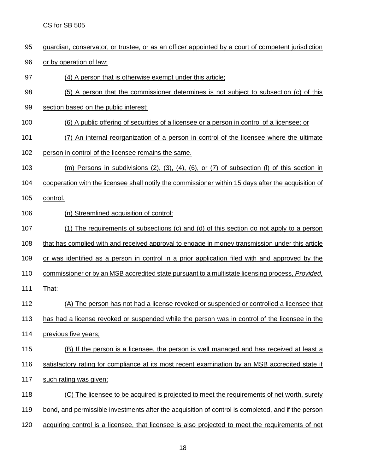- guardian, conservator, or trustee, or as an officer appointed by a court of competent jurisdiction
- 96 or by operation of law;
- (4) A person that is otherwise exempt under this article;
- (5) A person that the commissioner determines is not subject to subsection (c) of this
- 99 section based on the public interest;
- (6) A public offering of securities of a licensee or a person in control of a licensee; or
- (7) An internal reorganization of a person in control of the licensee where the ultimate
- person in control of the licensee remains the same.
- (m) Persons in subdivisions (2), (3), (4), (6), or (7) of subsection (l) of this section in
- cooperation with the licensee shall notify the commissioner within 15 days after the acquisition of
- control.
- 106 (n) Streamlined acquisition of control:
- (1) The requirements of subsections (c) and (d) of this section do not apply to a person
- that has complied with and received approval to engage in money transmission under this article
- or was identified as a person in control in a prior application filed with and approved by the
- commissioner or by an MSB accredited state pursuant to a multistate licensing process, *Provided,*
- 111 That:
- (A) The person has not had a license revoked or suspended or controlled a licensee that
- has had a license revoked or suspended while the person was in control of the licensee in the
- previous five years;
- (B) If the person is a licensee, the person is well managed and has received at least a
- 116 satisfactory rating for compliance at its most recent examination by an MSB accredited state if
- such rating was given;
- (C) The licensee to be acquired is projected to meet the requirements of net worth, surety
- bond, and permissible investments after the acquisition of control is completed, and if the person
- acquiring control is a licensee, that licensee is also projected to meet the requirements of net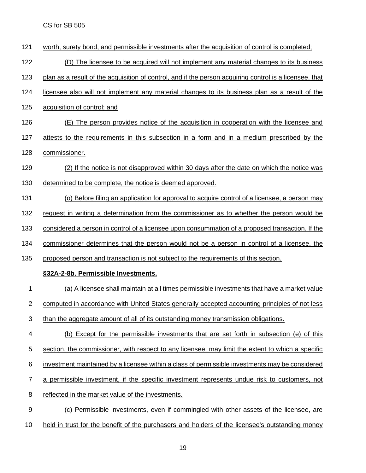worth, surety bond, and permissible investments after the acquisition of control is completed; (D) The licensee to be acquired will not implement any material changes to its business plan as a result of the acquisition of control, and if the person acquiring control is a licensee, that licensee also will not implement any material changes to its business plan as a result of the acquisition of control; and (E) The person provides notice of the acquisition in cooperation with the licensee and attests to the requirements in this subsection in a form and in a medium prescribed by the commissioner. (2) If the notice is not disapproved within 30 days after the date on which the notice was determined to be complete, the notice is deemed approved. (o) Before filing an application for approval to acquire control of a licensee, a person may 132 request in writing a determination from the commissioner as to whether the person would be considered a person in control of a licensee upon consummation of a proposed transaction. If the commissioner determines that the person would not be a person in control of a licensee, the 135 proposed person and transaction is not subject to the requirements of this section. **§32A-2-8b. Permissible Investments.** (a) A licensee shall maintain at all times permissible investments that have a market value computed in accordance with United States generally accepted accounting principles of not less than the aggregate amount of all of its outstanding money transmission obligations. (b) Except for the permissible investments that are set forth in subsection (e) of this section, the commissioner, with respect to any licensee, may limit the extent to which a specific investment maintained by a licensee within a class of permissible investments may be considered a permissible investment, if the specific investment represents undue risk to customers, not reflected in the market value of the investments. (c) Permissible investments, even if commingled with other assets of the licensee, are held in trust for the benefit of the purchasers and holders of the licensee's outstanding money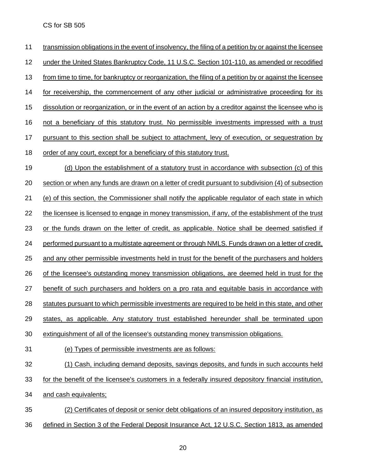transmission obligations in the event of insolvency, the filing of a petition by or against the licensee under the United States Bankruptcy Code, 11 U.S.C. Section 101-110, as amended or recodified from time to time, for bankruptcy or reorganization, the filing of a petition by or against the licensee for receivership, the commencement of any other judicial or administrative proceeding for its dissolution or reorganization, or in the event of an action by a creditor against the licensee who is not a beneficiary of this statutory trust. No permissible investments impressed with a trust pursuant to this section shall be subject to attachment, levy of execution, or sequestration by order of any court, except for a beneficiary of this statutory trust. (d) Upon the establishment of a statutory trust in accordance with subsection (c) of this section or when any funds are drawn on a letter of credit pursuant to subdivision (4) of subsection (e) of this section, the Commissioner shall notify the applicable regulator of each state in which 22 the licensee is licensed to engage in money transmission, if any, of the establishment of the trust or the funds drawn on the letter of credit, as applicable. Notice shall be deemed satisfied if performed pursuant to a multistate agreement or through NMLS. Funds drawn on a letter of credit, 25 and any other permissible investments held in trust for the benefit of the purchasers and holders of the licensee's outstanding money transmission obligations, are deemed held in trust for the 27 benefit of such purchasers and holders on a pro rata and equitable basis in accordance with statutes pursuant to which permissible investments are required to be held in this state, and other states, as applicable. Any statutory trust established hereunder shall be terminated upon extinguishment of all of the licensee's outstanding money transmission obligations. (e) Types of permissible investments are as follows: (1) Cash, including demand deposits, savings deposits, and funds in such accounts held for the benefit of the licensee's customers in a federally insured depository financial institution, and cash equivalents; (2) Certificates of deposit or senior debt obligations of an insured depository institution, as defined in Section 3 of the Federal Deposit Insurance Act, 12 U.S.C. Section 1813, as amended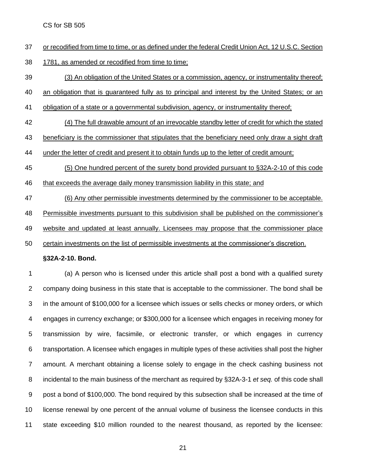- or recodified from time to time, or as defined under the federal Credit Union Act, 12 U.S.C. Section
- 1781, as amended or recodified from time to time;
- (3) An obligation of the United States or a commission, agency, or instrumentality thereof;
- an obligation that is guaranteed fully as to principal and interest by the United States; or an
- obligation of a state or a governmental subdivision, agency, or instrumentality thereof;
- (4) The full drawable amount of an irrevocable standby letter of credit for which the stated
- beneficiary is the commissioner that stipulates that the beneficiary need only draw a sight draft
- 44 under the letter of credit and present it to obtain funds up to the letter of credit amount;
- (5) One hundred percent of the surety bond provided pursuant to §32A-2-10 of this code
- that exceeds the average daily money transmission liability in this state; and

(6) Any other permissible investments determined by the commissioner to be acceptable.

48 Permissible investments pursuant to this subdivision shall be published on the commissioner's

website and updated at least annually. Licensees may propose that the commissioner place

certain investments on the list of permissible investments at the commissioner's discretion.

#### **§32A-2-10. Bond.**

 (a) A person who is licensed under this article shall post a bond with a qualified surety company doing business in this state that is acceptable to the commissioner. The bond shall be in the amount of \$100,000 for a licensee which issues or sells checks or money orders, or which engages in currency exchange; or \$300,000 for a licensee which engages in receiving money for transmission by wire, facsimile, or electronic transfer, or which engages in currency transportation. A licensee which engages in multiple types of these activities shall post the higher amount. A merchant obtaining a license solely to engage in the check cashing business not incidental to the main business of the merchant as required by §32A-3-1 *et seq.* of this code shall post a bond of \$100,000. The bond required by this subsection shall be increased at the time of license renewal by one percent of the annual volume of business the licensee conducts in this state exceeding \$10 million rounded to the nearest thousand, as reported by the licensee: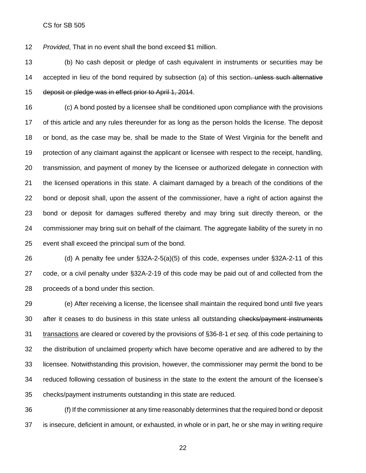*Provided*, That in no event shall the bond exceed \$1 million.

 (b) No cash deposit or pledge of cash equivalent in instruments or securities may be 14 accepted in lieu of the bond required by subsection (a) of this section. unless such alternative deposit or pledge was in effect prior to April 1, 2014.

 (c) A bond posted by a licensee shall be conditioned upon compliance with the provisions of this article and any rules thereunder for as long as the person holds the license. The deposit or bond, as the case may be, shall be made to the State of West Virginia for the benefit and protection of any claimant against the applicant or licensee with respect to the receipt, handling, transmission, and payment of money by the licensee or authorized delegate in connection with the licensed operations in this state. A claimant damaged by a breach of the conditions of the bond or deposit shall, upon the assent of the commissioner, have a right of action against the bond or deposit for damages suffered thereby and may bring suit directly thereon, or the commissioner may bring suit on behalf of the claimant. The aggregate liability of the surety in no event shall exceed the principal sum of the bond.

 (d) A penalty fee under §32A-2-5(a)(5) of this code, expenses under §32A-2-11 of this code, or a civil penalty under §32A-2-19 of this code may be paid out of and collected from the proceeds of a bond under this section.

 (e) After receiving a license, the licensee shall maintain the required bond until five years 30 after it ceases to do business in this state unless all outstanding checks/payment instruments transactions are cleared or covered by the provisions of §36-8-1 *et seq.* of this code pertaining to the distribution of unclaimed property which have become operative and are adhered to by the licensee. Notwithstanding this provision, however, the commissioner may permit the bond to be reduced following cessation of business in the state to the extent the amount of the licensee's checks/payment instruments outstanding in this state are reduced.

 (f) If the commissioner at any time reasonably determines that the required bond or deposit is insecure, deficient in amount, or exhausted, in whole or in part, he or she may in writing require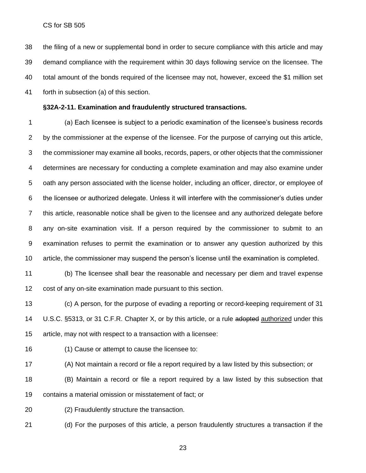the filing of a new or supplemental bond in order to secure compliance with this article and may demand compliance with the requirement within 30 days following service on the licensee. The total amount of the bonds required of the licensee may not, however, exceed the \$1 million set forth in subsection (a) of this section.

#### **§32A-2-11. Examination and fraudulently structured transactions.**

 (a) Each licensee is subject to a periodic examination of the licensee's business records 2 by the commissioner at the expense of the licensee. For the purpose of carrying out this article, the commissioner may examine all books, records, papers, or other objects that the commissioner determines are necessary for conducting a complete examination and may also examine under oath any person associated with the license holder, including an officer, director, or employee of the licensee or authorized delegate. Unless it will interfere with the commissioner's duties under this article, reasonable notice shall be given to the licensee and any authorized delegate before any on-site examination visit. If a person required by the commissioner to submit to an examination refuses to permit the examination or to answer any question authorized by this article, the commissioner may suspend the person's license until the examination is completed.

 (b) The licensee shall bear the reasonable and necessary per diem and travel expense cost of any on-site examination made pursuant to this section.

 (c) A person, for the purpose of evading a reporting or record-keeping requirement of 31 14 U.S.C. §5313, or 31 C.F.R. Chapter X, or by this article, or a rule adopted authorized under this article, may not with respect to a transaction with a licensee:

(1) Cause or attempt to cause the licensee to:

(A) Not maintain a record or file a report required by a law listed by this subsection; or

 (B) Maintain a record or file a report required by a law listed by this subsection that contains a material omission or misstatement of fact; or

(2) Fraudulently structure the transaction.

(d) For the purposes of this article, a person fraudulently structures a transaction if the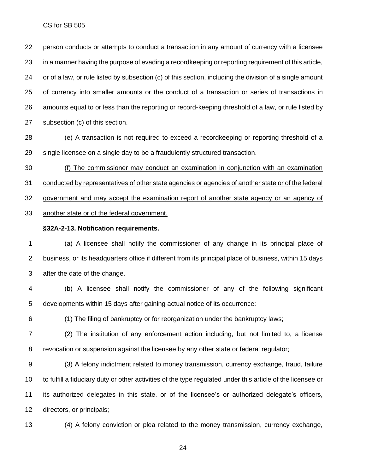person conducts or attempts to conduct a transaction in any amount of currency with a licensee in a manner having the purpose of evading a recordkeeping or reporting requirement of this article, or of a law, or rule listed by subsection (c) of this section, including the division of a single amount of currency into smaller amounts or the conduct of a transaction or series of transactions in amounts equal to or less than the reporting or record-keeping threshold of a law, or rule listed by subsection (c) of this section.

 (e) A transaction is not required to exceed a recordkeeping or reporting threshold of a single licensee on a single day to be a fraudulently structured transaction.

(f) The commissioner may conduct an examination in conjunction with an examination

conducted by representatives of other state agencies or agencies of another state or of the federal

government and may accept the examination report of another state agency or an agency of

another state or of the federal government.

#### **§32A-2-13. Notification requirements.**

 (a) A licensee shall notify the commissioner of any change in its principal place of business, or its headquarters office if different from its principal place of business, within 15 days after the date of the change.

 (b) A licensee shall notify the commissioner of any of the following significant developments within 15 days after gaining actual notice of its occurrence:

(1) The filing of bankruptcy or for reorganization under the bankruptcy laws;

 (2) The institution of any enforcement action including, but not limited to, a license revocation or suspension against the licensee by any other state or federal regulator;

 (3) A felony indictment related to money transmission, currency exchange, fraud, failure to fulfill a fiduciary duty or other activities of the type regulated under this article of the licensee or its authorized delegates in this state, or of the licensee's or authorized delegate's officers, directors, or principals;

(4) A felony conviction or plea related to the money transmission, currency exchange,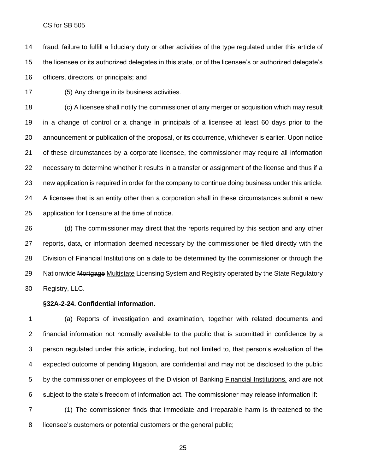fraud, failure to fulfill a fiduciary duty or other activities of the type regulated under this article of the licensee or its authorized delegates in this state, or of the licensee's or authorized delegate's officers, directors, or principals; and

(5) Any change in its business activities.

 (c) A licensee shall notify the commissioner of any merger or acquisition which may result in a change of control or a change in principals of a licensee at least 60 days prior to the announcement or publication of the proposal, or its occurrence, whichever is earlier. Upon notice of these circumstances by a corporate licensee, the commissioner may require all information necessary to determine whether it results in a transfer or assignment of the license and thus if a new application is required in order for the company to continue doing business under this article. A licensee that is an entity other than a corporation shall in these circumstances submit a new application for licensure at the time of notice.

 (d) The commissioner may direct that the reports required by this section and any other reports, data, or information deemed necessary by the commissioner be filed directly with the Division of Financial Institutions on a date to be determined by the commissioner or through the 29 Nationwide Mortgage Multistate Licensing System and Registry operated by the State Regulatory Registry, LLC.

#### **§32A-2-24. Confidential information.**

 (a) Reports of investigation and examination, together with related documents and financial information not normally available to the public that is submitted in confidence by a person regulated under this article, including, but not limited to, that person's evaluation of the expected outcome of pending litigation, are confidential and may not be disclosed to the public 5 by the commissioner or employees of the Division of Banking Financial Institutions, and are not subject to the state's freedom of information act. The commissioner may release information if:

 (1) The commissioner finds that immediate and irreparable harm is threatened to the licensee's customers or potential customers or the general public;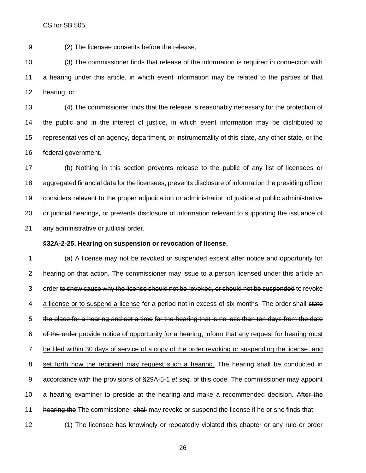(2) The licensee consents before the release;

 (3) The commissioner finds that release of the information is required in connection with a hearing under this article, in which event information may be related to the parties of that hearing; or

 (4) The commissioner finds that the release is reasonably necessary for the protection of the public and in the interest of justice, in which event information may be distributed to representatives of an agency, department, or instrumentality of this state, any other state, or the federal government.

 (b) Nothing in this section prevents release to the public of any list of licensees or aggregated financial data for the licensees, prevents disclosure of information the presiding officer considers relevant to the proper adjudication or administration of justice at public administrative or judicial hearings, or prevents disclosure of information relevant to supporting the issuance of any administrative or judicial order.

#### **§32A-2-25. Hearing on suspension or revocation of license.**

 (a) A license may not be revoked or suspended except after notice and opportunity for hearing on that action. The commissioner may issue to a person licensed under this article an 3 order to show cause why the license should not be revoked, or should not be suspended to revoke 4 a license or to suspend a license for a period not in excess of six months. The order shall state the place for a hearing and set a time for the hearing that is no less than ten days from the date 6 of the order provide notice of opportunity for a hearing, inform that any request for hearing must be filed within 30 days of service of a copy of the order revoking or suspending the license, and set forth how the recipient may request such a hearing. The hearing shall be conducted in accordance with the provisions of §29A-5-1 *et seq.* of this code. The commissioner may appoint 10 a hearing examiner to preside at the hearing and make a recommended decision. After the 11 hearing the The commissioner shall may revoke or suspend the license if he or she finds that:

(1) The licensee has knowingly or repeatedly violated this chapter or any rule or order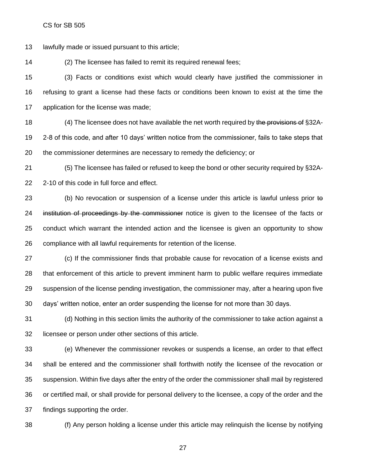lawfully made or issued pursuant to this article;

(2) The licensee has failed to remit its required renewal fees;

 (3) Facts or conditions exist which would clearly have justified the commissioner in refusing to grant a license had these facts or conditions been known to exist at the time the application for the license was made;

18 (4) The licensee does not have available the net worth required by the provisions of §32A- 2-8 of this code, and after 10 days' written notice from the commissioner, fails to take steps that the commissioner determines are necessary to remedy the deficiency; or

 (5) The licensee has failed or refused to keep the bond or other security required by §32A-2-10 of this code in full force and effect.

23 (b) No revocation or suspension of a license under this article is lawful unless prior to 24 institution of proceedings by the commissioner notice is given to the licensee of the facts or conduct which warrant the intended action and the licensee is given an opportunity to show compliance with all lawful requirements for retention of the license.

 (c) If the commissioner finds that probable cause for revocation of a license exists and that enforcement of this article to prevent imminent harm to public welfare requires immediate suspension of the license pending investigation, the commissioner may, after a hearing upon five days' written notice, enter an order suspending the license for not more than 30 days.

 (d) Nothing in this section limits the authority of the commissioner to take action against a licensee or person under other sections of this article.

 (e) Whenever the commissioner revokes or suspends a license, an order to that effect shall be entered and the commissioner shall forthwith notify the licensee of the revocation or suspension. Within five days after the entry of the order the commissioner shall mail by registered or certified mail, or shall provide for personal delivery to the licensee, a copy of the order and the findings supporting the order.

(f) Any person holding a license under this article may relinquish the license by notifying